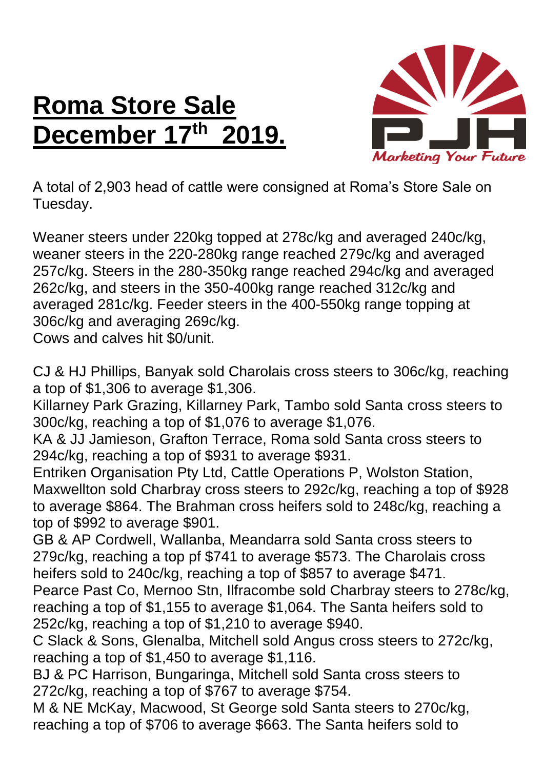## **Roma Store Sale December 17 th 2019.**



A total of 2,903 head of cattle were consigned at Roma's Store Sale on Tuesday.

Weaner steers under 220kg topped at 278c/kg and averaged 240c/kg, weaner steers in the 220-280kg range reached 279c/kg and averaged 257c/kg. Steers in the 280-350kg range reached 294c/kg and averaged 262c/kg, and steers in the 350-400kg range reached 312c/kg and averaged 281c/kg. Feeder steers in the 400-550kg range topping at 306c/kg and averaging 269c/kg.

Cows and calves hit \$0/unit.

CJ & HJ Phillips, Banyak sold Charolais cross steers to 306c/kg, reaching a top of \$1,306 to average \$1,306.

Killarney Park Grazing, Killarney Park, Tambo sold Santa cross steers to 300c/kg, reaching a top of \$1,076 to average \$1,076.

KA & JJ Jamieson, Grafton Terrace, Roma sold Santa cross steers to 294c/kg, reaching a top of \$931 to average \$931.

Entriken Organisation Pty Ltd, Cattle Operations P, Wolston Station, Maxwellton sold Charbray cross steers to 292c/kg, reaching a top of \$928 to average \$864. The Brahman cross heifers sold to 248c/kg, reaching a top of \$992 to average \$901.

GB & AP Cordwell, Wallanba, Meandarra sold Santa cross steers to 279c/kg, reaching a top pf \$741 to average \$573. The Charolais cross heifers sold to 240c/kg, reaching a top of \$857 to average \$471.

Pearce Past Co, Mernoo Stn, Ilfracombe sold Charbray steers to 278c/kg, reaching a top of \$1,155 to average \$1,064. The Santa heifers sold to 252c/kg, reaching a top of \$1,210 to average \$940.

C Slack & Sons, Glenalba, Mitchell sold Angus cross steers to 272c/kg, reaching a top of \$1,450 to average \$1,116.

BJ & PC Harrison, Bungaringa, Mitchell sold Santa cross steers to 272c/kg, reaching a top of \$767 to average \$754.

M & NE McKay, Macwood, St George sold Santa steers to 270c/kg, reaching a top of \$706 to average \$663. The Santa heifers sold to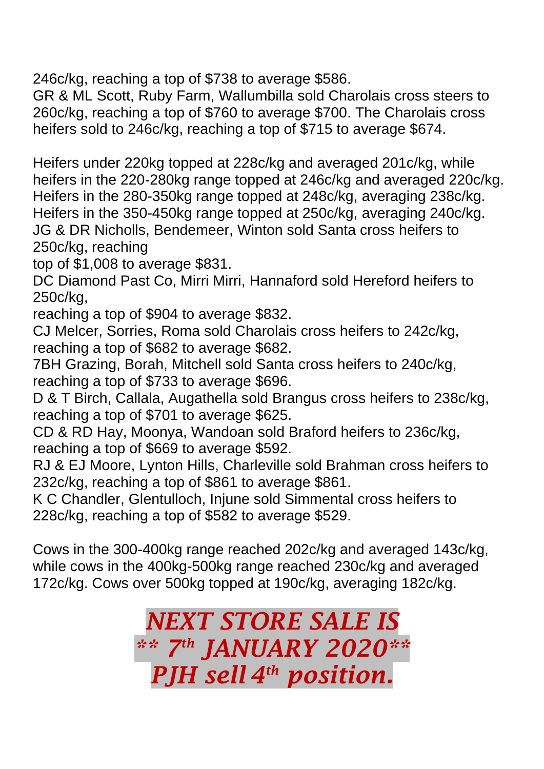246c/kg, reaching a top of \$738 to average \$586.

GR & ML Scott, Ruby Farm, Wallumbilla sold Charolais cross steers to 260c/kg, reaching a top of \$760 to average \$700. The Charolais cross heifers sold to 246c/kg, reaching a top of \$715 to average \$674.

Heifers under 220kg topped at 228c/kg and averaged 201c/kg, while heifers in the 220-280kg range topped at 246c/kg and averaged 220c/kg. Heifers in the 280-350kg range topped at 248c/kg, averaging 238c/kg. Heifers in the 350-450kg range topped at 250c/kg, averaging 240c/kg. JG & DR Nicholls, Bendemeer, Winton sold Santa cross heifers to 250c/kg, reaching

top of \$1,008 to average \$831.

DC Diamond Past Co, Mirri Mirri, Hannaford sold Hereford heifers to 250c/kg,

reaching a top of \$904 to average \$832.

CJ Melcer, Sorries, Roma sold Charolais cross heifers to 242c/kg, reaching a top of \$682 to average \$682.

7BH Grazing, Borah, Mitchell sold Santa cross heifers to 240c/kg, reaching a top of \$733 to average \$696.

D & T Birch, Callala, Augathella sold Brangus cross heifers to 238c/kg, reaching a top of \$701 to average \$625.

CD & RD Hay, Moonya, Wandoan sold Braford heifers to 236c/kg, reaching a top of \$669 to average \$592.

RJ & EJ Moore, Lynton Hills, Charleville sold Brahman cross heifers to 232c/kg, reaching a top of \$861 to average \$861.

K C Chandler, Glentulloch, Injune sold Simmental cross heifers to 228c/kg, reaching a top of \$582 to average \$529.

Cows in the 300-400kg range reached 202c/kg and averaged 143c/kg, while cows in the 400kg-500kg range reached 230c/kg and averaged 172c/kg. Cows over 500kg topped at 190c/kg, averaging 182c/kg.

> *NEXT STORE SALE IS \*\* 7 th JANUARY 2020\*\* PJH sell 4 th position.*